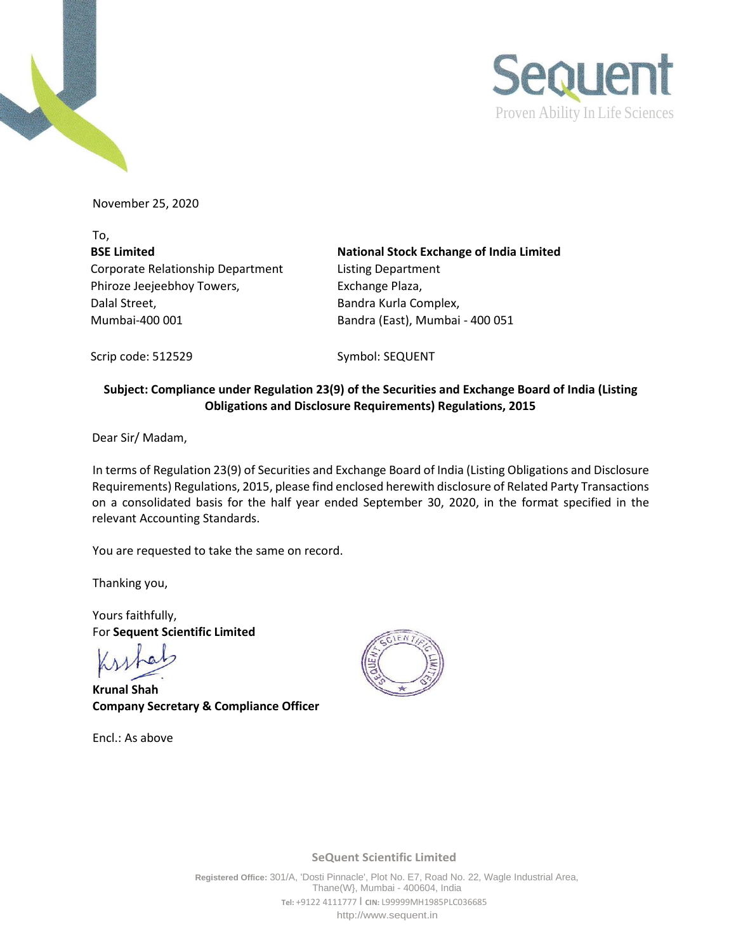

November 25, 2020

To, **BSE Limited** Corporate Relationship Department Phiroze Jeejeebhoy Towers, Dalal Street, Mumbai-400 001 Bandra (East), Mumbai - 400 051

**National Stock Exchange of India Limited** Listing Department Exchange Plaza, Bandra Kurla Complex,

Scrip code: 512529 Symbol: SEQUENT

## **Subject: Compliance under Regulation 23(9) of the Securities and Exchange Board of India (Listing Obligations and Disclosure Requirements) Regulations, 2015**

Dear Sir/ Madam,

In terms of Regulation 23(9) of Securities and Exchange Board of India (Listing Obligations and Disclosure Requirements) Regulations, 2015, please find enclosed herewith disclosure of Related Party Transactions on a consolidated basis for the half year ended September 30, 2020, in the format specified in the relevant Accounting Standards.

You are requested to take the same on record.

Thanking you,

Yours faithfully, For **Sequent Scientific Limited**

**Krunal Shah Company Secretary & Compliance Officer**

Encl.: As above



**SeQuent Scientific Limited**

**Registered Office:** 301/A, 'Dosti Pinnacle', Plot No. E7, Road No. 22, Wagle Industrial Area, Thane(W}, Mumbai - 400604, India **Tel:** +9122 4111777 I **CIN:** L99999MH1985PLC036685 [http://www.sequent.in](http://www.sequent.in/)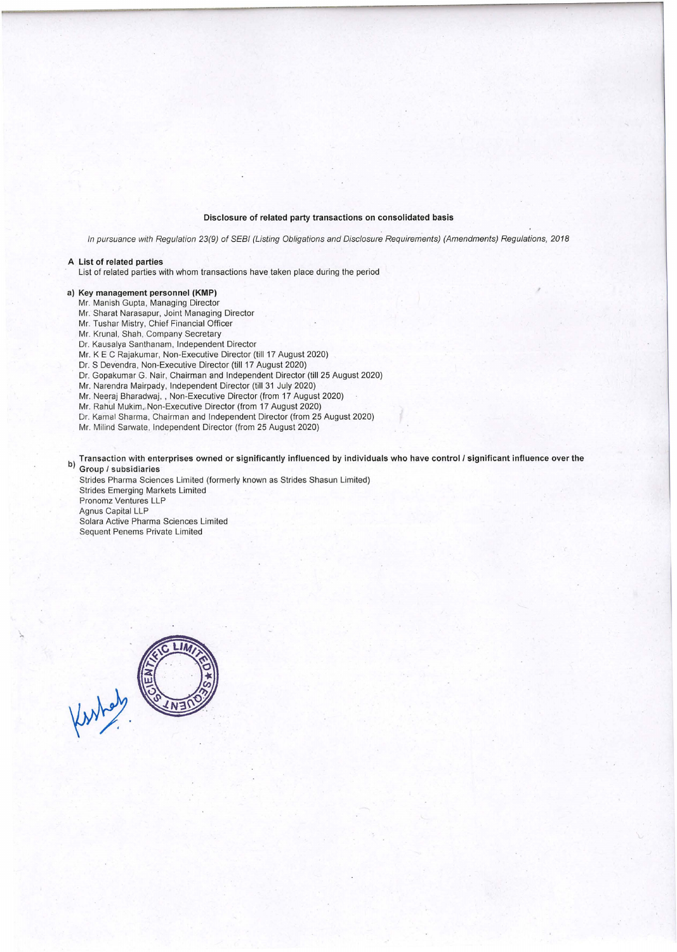## Disclosure of related party transactions on consolidated basis

In pursuance with Regulation 23(9) of SEBI (Listing Obligations and Disclosure Requirements) (Amendments) Regulations, 2018

## A List of related parties

List of related parties with whom transactions have taken place during the period

## a) Key management personnel **(KMP)**

Mr. Manish Gupta, Managing Director

Mr. Sharat Narasapur, Joint Managing Director

Mr. Tushar Mistry, Chief Financial Officer

Mr. Krunal, Shah, Company Secretary

Dr. Kausalya Santhanam, Independent Director

Mr.KE C Rajakumar, Non-Executive Director (till 17 August 2020)

Dr. S Devendra, Non-Executive Director (till 17 August 2020)

Dr. Gopakumar G. Nair, Chairman and Independent Director (till 25 August 2020)

Mr. Narendra Mairpady, Independent Director (till 31 July 2020)

Mr. Neeraj Bharadwaj, , Non-Executive Director (from 17 August 2020)

Mr. Rahul Mukim, Non-Executive Director (from 17 August 2020)

Dr. Kamal Sharma, Chairman and Independent Director (from 25 August 2020)

Mr. Milind Sarwate, Independent Director (from 25 August 2020)

b) Transaction with enterprises owned or significantly influenced by individuals who have control/ significant influence over the b) Group / subsidiaries

Strides Pharma Sciences Limited (formerly known as Strides Shasun Limited) Strides Emerging Markets Limited Pronomz Ventures LLP Agnus Capital LLP Solara Active Pharma Sciences Limited

Sequent Penems Private Limited